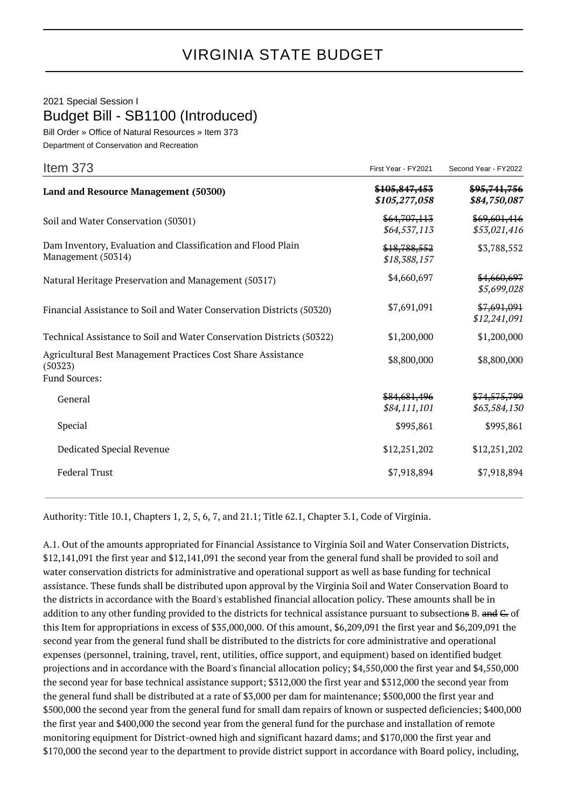## VIRGINIA STATE BUDGET

## 2021 Special Session I Budget Bill - SB1100 (Introduced)

Bill Order » Office of Natural Resources » Item 373 Department of Conservation and Recreation

| Item 373                                                                                        | First Year - FY2021            | Second Year - FY2022         |
|-------------------------------------------------------------------------------------------------|--------------------------------|------------------------------|
| Land and Resource Management (50300)                                                            | \$105,847,453<br>\$105,277,058 | \$95,741,756<br>\$84,750,087 |
| Soil and Water Conservation (50301)                                                             | \$64,707,113<br>\$64,537,113   | \$69,601,416<br>\$53,021,416 |
| Dam Inventory, Evaluation and Classification and Flood Plain<br>Management (50314)              | \$18,788,552<br>\$18,388,157   | \$3,788,552                  |
| Natural Heritage Preservation and Management (50317)                                            | \$4,660,697                    | \$4,660,697<br>\$5,699,028   |
| Financial Assistance to Soil and Water Conservation Districts (50320)                           | \$7,691,091                    | \$7,691,091<br>\$12,241,091  |
| Technical Assistance to Soil and Water Conservation Districts (50322)                           | \$1,200,000                    | \$1,200,000                  |
| Agricultural Best Management Practices Cost Share Assistance<br>(50323)<br><b>Fund Sources:</b> | \$8,800,000                    | \$8,800,000                  |
| General                                                                                         | \$84,681,496<br>\$84,111,101   | \$74,575,799<br>\$63,584,130 |
| Special                                                                                         | \$995,861                      | \$995,861                    |
| Dedicated Special Revenue                                                                       | \$12,251,202                   | \$12,251,202                 |
| <b>Federal Trust</b>                                                                            | \$7,918,894                    | \$7,918,894                  |

Authority: Title 10.1, Chapters 1, 2, 5, 6, 7, and 21.1; Title 62.1, Chapter 3.1, Code of Virginia.

A.1. Out of the amounts appropriated for Financial Assistance to Virginia Soil and Water Conservation Districts, \$12,141,091 the first year and \$12,141,091 the second year from the general fund shall be provided to soil and water conservation districts for administrative and operational support as well as base funding for technical assistance. These funds shall be distributed upon approval by the Virginia Soil and Water Conservation Board to the districts in accordance with the Board's established financial allocation policy. These amounts shall be in addition to any other funding provided to the districts for technical assistance pursuant to subsections B. and C. of this Item for appropriations in excess of \$35,000,000. Of this amount, \$6,209,091 the first year and \$6,209,091 the second year from the general fund shall be distributed to the districts for core administrative and operational expenses (personnel, training, travel, rent, utilities, office support, and equipment) based on identified budget projections and in accordance with the Board's financial allocation policy; \$4,550,000 the first year and \$4,550,000 the second year for base technical assistance support; \$312,000 the first year and \$312,000 the second year from the general fund shall be distributed at a rate of \$3,000 per dam for maintenance; \$500,000 the first year and \$500,000 the second year from the general fund for small dam repairs of known or suspected deficiencies; \$400,000 the first year and \$400,000 the second year from the general fund for the purchase and installation of remote monitoring equipment for District-owned high and significant hazard dams; and \$170,000 the first year and \$170,000 the second year to the department to provide district support in accordance with Board policy, including,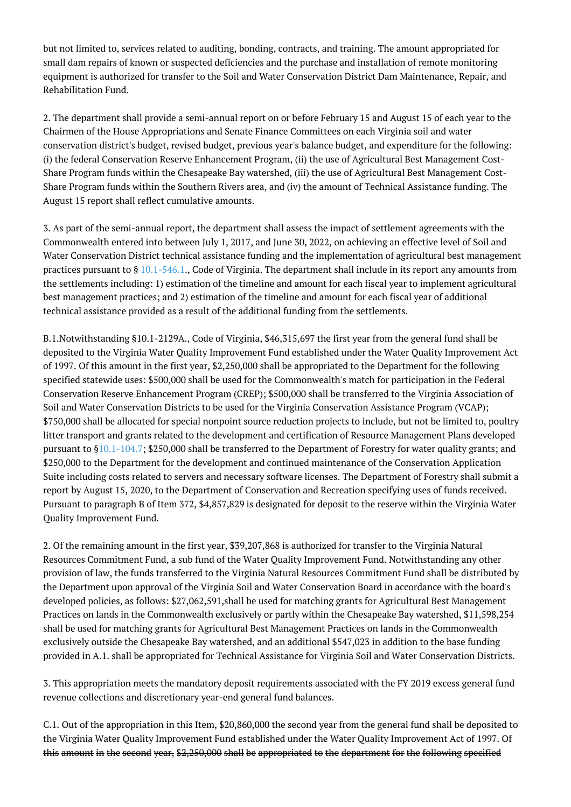but not limited to, services related to auditing, bonding, contracts, and training. The amount appropriated for small dam repairs of known or suspected deficiencies and the purchase and installation of remote monitoring equipment is authorized for transfer to the Soil and Water Conservation District Dam Maintenance, Repair, and Rehabilitation Fund.

2. The department shall provide a semi-annual report on or before February 15 and August 15 of each year to the Chairmen of the House Appropriations and Senate Finance Committees on each Virginia soil and water conservation district's budget, revised budget, previous year's balance budget, and expenditure for the following: (i) the federal Conservation Reserve Enhancement Program, (ii) the use of Agricultural Best Management Cost-Share Program funds within the Chesapeake Bay watershed, (iii) the use of Agricultural Best Management Cost-Share Program funds within the Southern Rivers area, and (iv) the amount of Technical Assistance funding. The August 15 report shall reflect cumulative amounts.

3. As part of the semi-annual report, the department shall assess the impact of settlement agreements with the Commonwealth entered into between July 1, 2017, and June 30, 2022, on achieving an effective level of Soil and Water Conservation District technical assistance funding and the implementation of agricultural best management practices pursuant to § [10.1-546.1.](http://law.lis.virginia.gov/vacode/10.1-546.1/), Code of Virginia. The department shall include in its report any amounts from the settlements including: 1) estimation of the timeline and amount for each fiscal year to implement agricultural best management practices; and 2) estimation of the timeline and amount for each fiscal year of additional technical assistance provided as a result of the additional funding from the settlements.

B.1.Notwithstanding §10.1-2129A., Code of Virginia, \$46,315,697 the first year from the general fund shall be deposited to the Virginia Water Quality Improvement Fund established under the Water Quality Improvement Act of 1997. Of this amount in the first year, \$2,250,000 shall be appropriated to the Department for the following specified statewide uses: \$500,000 shall be used for the Commonwealth's match for participation in the Federal Conservation Reserve Enhancement Program (CREP); \$500,000 shall be transferred to the Virginia Association of Soil and Water Conservation Districts to be used for the Virginia Conservation Assistance Program (VCAP); \$750,000 shall be allocated for special nonpoint source reduction projects to include, but not be limited to, poultry litter transport and grants related to the development and certification of Resource Management Plans developed pursuant to §[10.1-104.7;](http://law.lis.virginia.gov/vacode/10.1-104.7/) \$250,000 shall be transferred to the Department of Forestry for water quality grants; and \$250,000 to the Department for the development and continued maintenance of the Conservation Application Suite including costs related to servers and necessary software licenses. The Department of Forestry shall submit a report by August 15, 2020, to the Department of Conservation and Recreation specifying uses of funds received. Pursuant to paragraph B of Item 372, \$4,857,829 is designated for deposit to the reserve within the Virginia Water Quality Improvement Fund.

2. Of the remaining amount in the first year, \$39,207,868 is authorized for transfer to the Virginia Natural Resources Commitment Fund, a sub fund of the Water Quality Improvement Fund. Notwithstanding any other provision of law, the funds transferred to the Virginia Natural Resources Commitment Fund shall be distributed by the Department upon approval of the Virginia Soil and Water Conservation Board in accordance with the board's developed policies, as follows: \$27,062,591,shall be used for matching grants for Agricultural Best Management Practices on lands in the Commonwealth exclusively or partly within the Chesapeake Bay watershed, \$11,598,254 shall be used for matching grants for Agricultural Best Management Practices on lands in the Commonwealth exclusively outside the Chesapeake Bay watershed, and an additional \$547,023 in addition to the base funding provided in A.1. shall be appropriated for Technical Assistance for Virginia Soil and Water Conservation Districts.

3. This appropriation meets the mandatory deposit requirements associated with the FY 2019 excess general fund revenue collections and discretionary year-end general fund balances.

C.1. Out of the appropriation in this Item, \$20,860,000 the second year from the general fund shall be deposited to the Virginia Water Quality Improvement Fund established under the Water Quality Improvement Act of 1997. Of this amount in the second year, \$2,250,000 shall be appropriated to the department for the following specified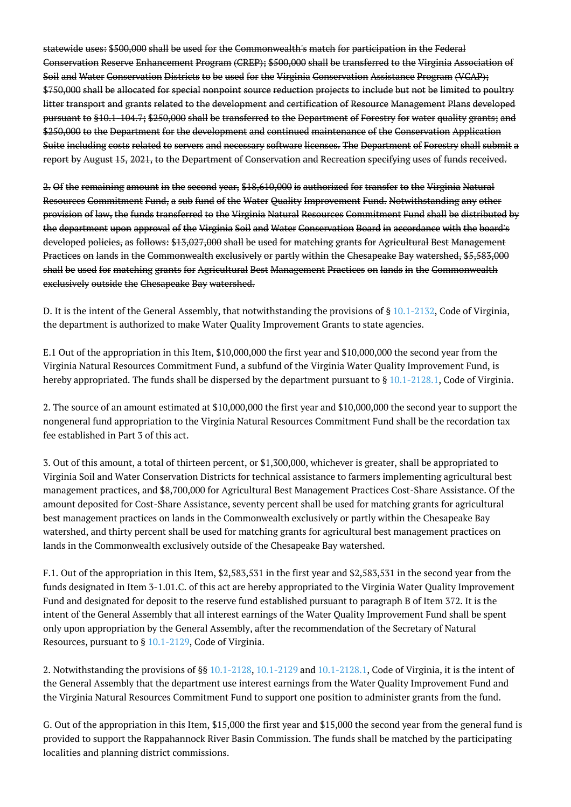statewide uses: \$500,000 shall be used for the Commonwealth's match for participation in the Federal Conservation Reserve Enhancement Program (CREP); \$500,000 shall be transferred to the Virginia Association of Soil and Water Conservation Districts to be used for the Virginia Conservation Assistance Program (VCAP); \$750,000 shall be allocated for special nonpoint source reduction projects to include but not be limited to poultry litter transport and grants related to the development and certification of Resource Management Plans developed pursuant to §10.1-104.7; \$250,000 shall be transferred to the Department of Forestry for water quality grants; and \$250,000 to the Department for the development and continued maintenance of the Conservation Application Suite including costs related to servers and necessary software licenses. The Department of Forestry shall submit a report by August 15, 2021, to the Department of Conservation and Recreation specifying uses of funds received.

2. Of the remaining amount in the second year, \$18,610,000 is authorized for transfer to the Virginia Natural Resources Commitment Fund, a sub fund of the Water Quality Improvement Fund. Notwithstanding any other provision of law, the funds transferred to the Virginia Natural Resources Commitment Fund shall be distributed by the department upon approval of the Virginia Soil and Water Conservation Board in accordance with the board's developed policies, as follows: \$13,027,000 shall be used for matching grants for Agricultural Best Management Practices on lands in the Commonwealth exclusively or partly within the Chesapeake Bay watershed, \$5,583,000 shall be used for matching grants for Agricultural Best Management Practices on lands in the Commonwealth exclusively outside the Chesapeake Bay watershed.

D. It is the intent of the General Assembly, that notwithstanding the provisions of § [10.1-2132,](http://law.lis.virginia.gov/vacode/10.1-2132/) Code of Virginia, the department is authorized to make Water Quality Improvement Grants to state agencies.

E.1 Out of the appropriation in this Item, \$10,000,000 the first year and \$10,000,000 the second year from the Virginia Natural Resources Commitment Fund, a subfund of the Virginia Water Quality Improvement Fund, is hereby appropriated. The funds shall be dispersed by the department pursuant to  $\S 10.1-2128.1$  $\S 10.1-2128.1$ , Code of Virginia.

2. The source of an amount estimated at \$10,000,000 the first year and \$10,000,000 the second year to support the nongeneral fund appropriation to the Virginia Natural Resources Commitment Fund shall be the recordation tax fee established in Part 3 of this act.

3. Out of this amount, a total of thirteen percent, or \$1,300,000, whichever is greater, shall be appropriated to Virginia Soil and Water Conservation Districts for technical assistance to farmers implementing agricultural best management practices, and \$8,700,000 for Agricultural Best Management Practices Cost-Share Assistance. Of the amount deposited for Cost-Share Assistance, seventy percent shall be used for matching grants for agricultural best management practices on lands in the Commonwealth exclusively or partly within the Chesapeake Bay watershed, and thirty percent shall be used for matching grants for agricultural best management practices on lands in the Commonwealth exclusively outside of the Chesapeake Bay watershed.

F.1. Out of the appropriation in this Item, \$2,583,531 in the first year and \$2,583,531 in the second year from the funds designated in Item 3-1.01.C. of this act are hereby appropriated to the Virginia Water Quality Improvement Fund and designated for deposit to the reserve fund established pursuant to paragraph B of Item 372. It is the intent of the General Assembly that all interest earnings of the Water Quality Improvement Fund shall be spent only upon appropriation by the General Assembly, after the recommendation of the Secretary of Natural Resources, pursuant to § [10.1-2129](http://law.lis.virginia.gov/vacode/10.1-2129/), Code of Virginia.

2. Notwithstanding the provisions of §§ [10.1-2128](http://law.lis.virginia.gov/vacode/10.1-2128/), [10.1-2129](http://law.lis.virginia.gov/vacode/10.1-2129/) and [10.1-2128.1](http://law.lis.virginia.gov/vacode/10.1-2128.1/), Code of Virginia, it is the intent of the General Assembly that the department use interest earnings from the Water Quality Improvement Fund and the Virginia Natural Resources Commitment Fund to support one position to administer grants from the fund.

G. Out of the appropriation in this Item, \$15,000 the first year and \$15,000 the second year from the general fund is provided to support the Rappahannock River Basin Commission. The funds shall be matched by the participating localities and planning district commissions.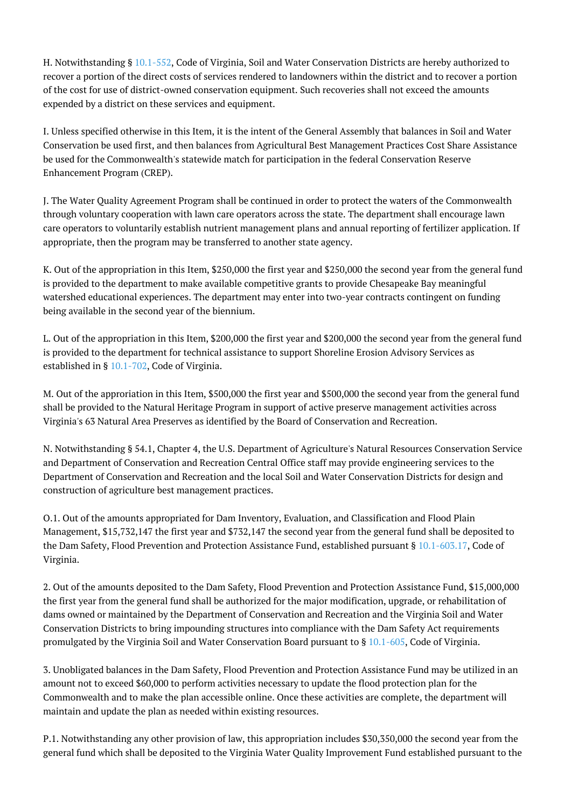H. Notwithstanding § [10.1-552](http://law.lis.virginia.gov/vacode/10.1-552/), Code of Virginia, Soil and Water Conservation Districts are hereby authorized to recover a portion of the direct costs of services rendered to landowners within the district and to recover a portion of the cost for use of district-owned conservation equipment. Such recoveries shall not exceed the amounts expended by a district on these services and equipment.

I. Unless specified otherwise in this Item, it is the intent of the General Assembly that balances in Soil and Water Conservation be used first, and then balances from Agricultural Best Management Practices Cost Share Assistance be used for the Commonwealth's statewide match for participation in the federal Conservation Reserve Enhancement Program (CREP).

J. The Water Quality Agreement Program shall be continued in order to protect the waters of the Commonwealth through voluntary cooperation with lawn care operators across the state. The department shall encourage lawn care operators to voluntarily establish nutrient management plans and annual reporting of fertilizer application. If appropriate, then the program may be transferred to another state agency.

K. Out of the appropriation in this Item, \$250,000 the first year and \$250,000 the second year from the general fund is provided to the department to make available competitive grants to provide Chesapeake Bay meaningful watershed educational experiences. The department may enter into two-year contracts contingent on funding being available in the second year of the biennium.

L. Out of the appropriation in this Item, \$200,000 the first year and \$200,000 the second year from the general fund is provided to the department for technical assistance to support Shoreline Erosion Advisory Services as established in § [10.1-702](http://law.lis.virginia.gov/vacode/10.1-702/), Code of Virginia.

M. Out of the approriation in this Item, \$500,000 the first year and \$500,000 the second year from the general fund shall be provided to the Natural Heritage Program in support of active preserve management activities across Virginia's 63 Natural Area Preserves as identified by the Board of Conservation and Recreation.

N. Notwithstanding § 54.1, Chapter 4, the U.S. Department of Agriculture's Natural Resources Conservation Service and Department of Conservation and Recreation Central Office staff may provide engineering services to the Department of Conservation and Recreation and the local Soil and Water Conservation Districts for design and construction of agriculture best management practices.

O.1. Out of the amounts appropriated for Dam Inventory, Evaluation, and Classification and Flood Plain Management, \$15,732,147 the first year and \$732,147 the second year from the general fund shall be deposited to the Dam Safety, Flood Prevention and Protection Assistance Fund, established pursuant § [10.1-603.17](http://law.lis.virginia.gov/vacode/10.1-603.17/), Code of Virginia.

2. Out of the amounts deposited to the Dam Safety, Flood Prevention and Protection Assistance Fund, \$15,000,000 the first year from the general fund shall be authorized for the major modification, upgrade, or rehabilitation of dams owned or maintained by the Department of Conservation and Recreation and the Virginia Soil and Water Conservation Districts to bring impounding structures into compliance with the Dam Safety Act requirements promulgated by the Virginia Soil and Water Conservation Board pursuant to § [10.1-605](http://law.lis.virginia.gov/vacode/10.1-605/), Code of Virginia.

3. Unobligated balances in the Dam Safety, Flood Prevention and Protection Assistance Fund may be utilized in an amount not to exceed \$60,000 to perform activities necessary to update the flood protection plan for the Commonwealth and to make the plan accessible online. Once these activities are complete, the department will maintain and update the plan as needed within existing resources.

P.1. Notwithstanding any other provision of law, this appropriation includes \$30,350,000 the second year from the general fund which shall be deposited to the Virginia Water Quality Improvement Fund established pursuant to the